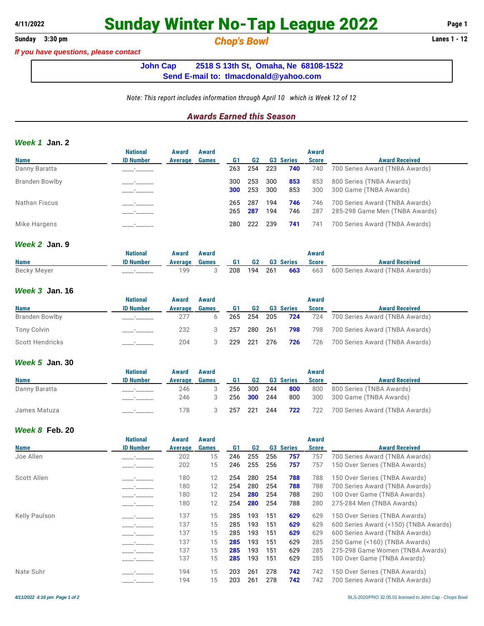## **4/11/2022 Sunday Winter No-Tap League 2022 Page 1**

*If you have questions, please contact*

**Sunday 3:30 pm** *Chop's Bowl* **Lanes 1 - 12**

**John Cap 2518 S 13th St, Omaha, Ne 68108-1522 Send E-mail to: [tlmacdonald@yahoo.com](mailto:tlmacdonald@yahoo.com)**

*Note: This report includes information through April 10 which is Week 12 of 12*

### *Awards Earned this Season*

### *Week 1* **Jan. 2**

|                       | <b>National</b>  | Award   | Award        |     |     |     |                  | Award        |                                |
|-----------------------|------------------|---------|--------------|-----|-----|-----|------------------|--------------|--------------------------------|
| <b>Name</b>           | <b>ID Number</b> | Average | <b>Games</b> | G1  | G2  |     | <b>G3 Series</b> | <b>Score</b> | <b>Award Received</b>          |
| Danny Baratta         |                  |         |              | 263 | 254 | 223 | 740              | 740          | 700 Series Award (TNBA Awards) |
| <b>Branden Bowlby</b> |                  |         |              | 300 | 253 | 300 | 853              | 853          | 800 Series (TNBA Awards)       |
|                       |                  |         |              | 300 | 253 | 300 | 853              | 300          | 300 Game (TNBA Awards)         |
| Nathan Fiscus         |                  |         |              | 265 | 287 | 194 | 746              | 746          | 700 Series Award (TNBA Awards) |
|                       |                  |         |              | 265 | 287 | 194 | 746              | 287          | 285-298 Game Men (TNBA Awards) |
| Mike Hargens          |                  |         |              | 280 | 222 | 239 | 741              | 741          | 700 Series Award (TNBA Awards) |

### *Week 2* **Jan. 9**

|             | National         | Award   | Award |           |         |                  | Award        |                                    |
|-------------|------------------|---------|-------|-----------|---------|------------------|--------------|------------------------------------|
| <b>Name</b> | <b>ID Number</b> | Average | Games | <b>G1</b> | G2      | <b>G3 Series</b> | <b>Score</b> | <b>Award Received</b>              |
| Becky Meyer |                  | 199     |       | 208       | 194 261 | 663              |              | 663 600 Series Award (TNBA Awards) |

### *Week 3* **Jan. 16**

|                 | <b>National</b>  | Award   | Award        |     |         |                  | Award        |                                |
|-----------------|------------------|---------|--------------|-----|---------|------------------|--------------|--------------------------------|
| <b>Name</b>     | <b>ID Number</b> | Average | <b>Games</b> | G1  | G2      | <b>G3 Series</b> | <b>Score</b> | <b>Award Received</b>          |
| Branden Bowlby  |                  | 277     |              |     |         | 265 254 205 724  | 724          | 700 Series Award (TNBA Awards) |
| Tony Colvin     |                  | 232     |              | 257 | 280 261 | 798              | 798          | 700 Series Award (TNBA Awards) |
| Scott Hendricks |                  | 204     |              | 229 | 221 276 | 726              | 726          | 700 Series Award (TNBA Awards) |

### *Week 5* **Jan. 30**

|               | <b>National</b>  | Award   | Award        |     |                |     |                  | <b>Award</b> |                                |
|---------------|------------------|---------|--------------|-----|----------------|-----|------------------|--------------|--------------------------------|
| <b>Name</b>   | <b>ID Number</b> | Average | <b>Games</b> | G1  | G <sub>2</sub> |     | <b>G3 Series</b> | <b>Score</b> | <b>Award Received</b>          |
| Danny Baratta |                  | 246     |              | 256 | 300            | 244 | 800              | 800          | 800 Series (TNBA Awards)       |
|               |                  | 246     |              | 256 | <b>300</b> 244 |     | 800              | 300          | 300 Game (TNBA Awards)         |
| James Matuza  |                  | 178     |              | 257 | 221            | 244 | 722              | 722          | 700 Series Award (TNBA Awards) |

### *Week 8* **Feb. 20**

|               | <b>National</b>  | Award          | Award        |                |                |     |                  | <b>Award</b> |                                       |
|---------------|------------------|----------------|--------------|----------------|----------------|-----|------------------|--------------|---------------------------------------|
| <b>Name</b>   | <b>ID Number</b> | <b>Average</b> | <b>Games</b> | G <sub>1</sub> | G <sub>2</sub> |     | <b>G3 Series</b> | <b>Score</b> | <b>Award Received</b>                 |
| Joe Allen     |                  | 202            | 15           | 246            | 255            | 256 | 757              | 757          | 700 Series Award (TNBA Awards)        |
|               |                  | 202            | 15           | 246            | 255            | 256 | 757              | 757          | 150 Over Series (TNBA Awards)         |
| Scott Allen   |                  | 180            | 12           | 254            | 280            | 254 | 788              | 788          | 150 Over Series (TNBA Awards)         |
|               |                  | 180            | 12           | 254            | 280            | 254 | 788              | 788          | 700 Series Award (TNBA Awards)        |
|               |                  | 180            | 12           | 254            | 280            | 254 | 788              | 280          | 100 Over Game (TNBA Awards)           |
|               |                  | 180            | 12           | 254            | 280            | 254 | 788              | 280          | 275-284 Men (TNBA Awards)             |
| Kelly Paulson |                  | 137            | 15           | 285            | 193            | 151 | 629              | 629          | 150 Over Series (TNBA Awards)         |
|               |                  | 137            | 15           | 285            | 193            | 151 | 629              | 629          | 600 Series Award (<150) (TNBA Awards) |
|               |                  | 137            | 15           | 285            | 193            | 151 | 629              | 629          | 600 Series Award (TNBA Awards)        |
|               |                  | 137            | 15           | 285            | 193            | 151 | 629              | 285          | 250 Game (<160) (TNBA Awards)         |
|               |                  | 137            | 15           | 285            | 193            | 151 | 629              | 285          | 275-298 Game Women (TNBA Awards)      |
|               |                  | 137            | 15           | 285            | 193            | 151 | 629              | 285          | 100 Over Game (TNBA Awards)           |
| Nate Suhr     |                  | 194            | 15           | 203            | 261            | 278 | 742              | 742          | 150 Over Series (TNBA Awards)         |
|               |                  | 194            | 15           | 203            | 261            | 278 | 742              | 742          | 700 Series Award (TNBA Awards)        |